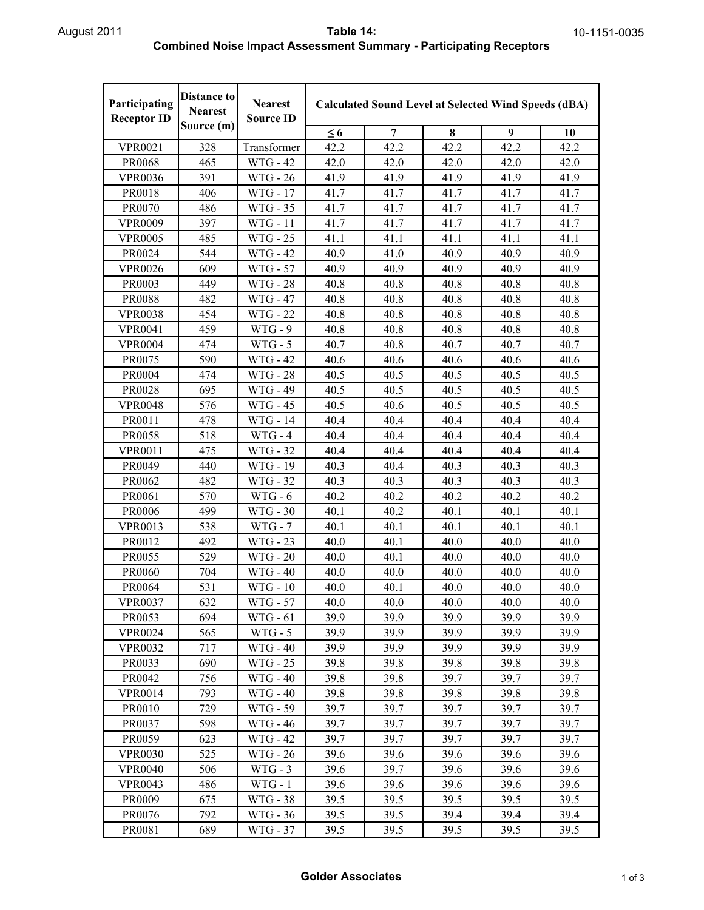| Participating<br><b>Receptor ID</b> | <b>Distance to</b><br><b>Nearest</b> | <b>Nearest</b><br><b>Source ID</b> | <b>Calculated Sound Level at Selected Wind Speeds (dBA)</b> |      |      |      |      |  |
|-------------------------------------|--------------------------------------|------------------------------------|-------------------------------------------------------------|------|------|------|------|--|
|                                     | Source (m)                           |                                    | $\leq 6$                                                    | 7    | 8    | 9    | 10   |  |
| <b>VPR0021</b>                      | 328                                  | Transformer                        | 42.2                                                        | 42.2 | 42.2 | 42.2 | 42.2 |  |
| PR0068                              | 465                                  | <b>WTG - 42</b>                    | 42.0                                                        | 42.0 | 42.0 | 42.0 | 42.0 |  |
| <b>VPR0036</b>                      | 391                                  | WTG - 26                           | 41.9                                                        | 41.9 | 41.9 | 41.9 | 41.9 |  |
| PR0018                              | 406                                  | WTG - 17                           | 41.7                                                        | 41.7 | 41.7 | 41.7 | 41.7 |  |
| PR0070                              | 486                                  | WTG - 35                           | 41.7                                                        | 41.7 | 41.7 | 41.7 | 41.7 |  |
| <b>VPR0009</b>                      | 397                                  | <b>WTG</b> - 11                    | 41.7                                                        | 41.7 | 41.7 | 41.7 | 41.7 |  |
| <b>VPR0005</b>                      | 485                                  | <b>WTG - 25</b>                    | 41.1                                                        | 41.1 | 41.1 | 41.1 | 41.1 |  |
| PR0024                              | 544                                  | <b>WTG - 42</b>                    | 40.9                                                        | 41.0 | 40.9 | 40.9 | 40.9 |  |
| <b>VPR0026</b>                      | 609                                  | <b>WTG - 57</b>                    | 40.9                                                        | 40.9 | 40.9 | 40.9 | 40.9 |  |
| PR0003                              | 449                                  | <b>WTG - 28</b>                    | 40.8                                                        | 40.8 | 40.8 | 40.8 | 40.8 |  |
| <b>PR0088</b>                       | 482                                  | <b>WTG - 47</b>                    | 40.8                                                        | 40.8 | 40.8 | 40.8 | 40.8 |  |
| <b>VPR0038</b>                      | 454                                  | <b>WTG - 22</b>                    | 40.8                                                        | 40.8 | 40.8 | 40.8 | 40.8 |  |
| <b>VPR0041</b>                      | 459                                  | $WTG - 9$                          | 40.8                                                        | 40.8 | 40.8 | 40.8 | 40.8 |  |
| <b>VPR0004</b>                      | 474                                  | $WTG - 5$                          | 40.7                                                        | 40.8 | 40.7 | 40.7 | 40.7 |  |
| PR0075                              | 590                                  | <b>WTG - 42</b>                    | 40.6                                                        | 40.6 | 40.6 | 40.6 | 40.6 |  |
| PR0004                              | 474                                  | <b>WTG - 28</b>                    | 40.5                                                        | 40.5 | 40.5 | 40.5 | 40.5 |  |
| PR0028                              | 695                                  | <b>WTG - 49</b>                    | 40.5                                                        | 40.5 | 40.5 | 40.5 | 40.5 |  |
| <b>VPR0048</b>                      | 576                                  | <b>WTG - 45</b>                    | 40.5                                                        | 40.6 | 40.5 | 40.5 | 40.5 |  |
| PR0011                              | 478                                  | WTG - 14                           | 40.4                                                        | 40.4 | 40.4 | 40.4 | 40.4 |  |
| <b>PR0058</b>                       | 518                                  | $WTG - 4$                          | 40.4                                                        | 40.4 | 40.4 | 40.4 | 40.4 |  |
| <b>VPR0011</b>                      | 475                                  | <b>WTG - 32</b>                    | 40.4                                                        | 40.4 | 40.4 | 40.4 | 40.4 |  |
| PR0049                              | 440                                  | WTG - 19                           | 40.3                                                        | 40.4 | 40.3 | 40.3 | 40.3 |  |
| PR0062                              | 482                                  | WTG - 32                           | 40.3                                                        | 40.3 | 40.3 | 40.3 | 40.3 |  |
| PR0061                              | 570                                  | $WTG - 6$                          | 40.2                                                        | 40.2 | 40.2 | 40.2 | 40.2 |  |
| <b>PR0006</b>                       | 499                                  | WTG - 30                           | 40.1                                                        | 40.2 | 40.1 | 40.1 | 40.1 |  |
| <b>VPR0013</b>                      | 538                                  | $WTG - 7$                          | 40.1                                                        | 40.1 | 40.1 | 40.1 | 40.1 |  |
| PR0012                              | 492                                  | <b>WTG - 23</b>                    | 40.0                                                        | 40.1 | 40.0 | 40.0 | 40.0 |  |
| PR0055                              | 529                                  | <b>WTG - 20</b>                    | 40.0                                                        | 40.1 | 40.0 | 40.0 | 40.0 |  |
| PR0060                              | 704                                  | WTG - 40                           | 40.0                                                        | 40.0 | 40.0 | 40.0 | 40.0 |  |
| PR0064                              | 531                                  | <b>WTG - 10</b>                    | 40.0                                                        | 40.1 | 40.0 | 40.0 | 40.0 |  |
| <b>VPR0037</b>                      | 632                                  | WTG - 57                           | 40.0                                                        | 40.0 | 40.0 | 40.0 | 40.0 |  |
| PR0053                              | 694                                  | WTG - 61                           | 39.9                                                        | 39.9 | 39.9 | 39.9 | 39.9 |  |
| <b>VPR0024</b>                      | 565                                  | $WTG - 5$                          | 39.9                                                        | 39.9 | 39.9 | 39.9 | 39.9 |  |
| <b>VPR0032</b>                      | 717                                  | WTG - 40                           | 39.9                                                        | 39.9 | 39.9 | 39.9 | 39.9 |  |
| PR0033                              | 690                                  | WTG - 25                           | 39.8                                                        | 39.8 | 39.8 | 39.8 | 39.8 |  |
| PR0042                              | 756                                  | <b>WTG - 40</b>                    | 39.8                                                        | 39.8 | 39.7 | 39.7 | 39.7 |  |
| <b>VPR0014</b>                      | 793                                  | <b>WTG - 40</b>                    | 39.8                                                        | 39.8 | 39.8 | 39.8 | 39.8 |  |
| PR0010                              | 729                                  | WTG - 59                           | 39.7                                                        | 39.7 | 39.7 | 39.7 | 39.7 |  |
| PR0037                              | 598                                  | WTG - 46                           | 39.7                                                        | 39.7 | 39.7 | 39.7 | 39.7 |  |
| PR0059                              | 623                                  | WTG - 42                           | 39.7                                                        | 39.7 | 39.7 | 39.7 | 39.7 |  |
| <b>VPR0030</b>                      | 525                                  | WTG - 26                           | 39.6                                                        | 39.6 | 39.6 | 39.6 | 39.6 |  |
| <b>VPR0040</b>                      | 506                                  | $WTG - 3$                          | 39.6                                                        | 39.7 | 39.6 | 39.6 | 39.6 |  |
| <b>VPR0043</b>                      | 486                                  | $WTG - 1$                          | 39.6                                                        | 39.6 | 39.6 | 39.6 | 39.6 |  |
| PR0009                              | 675                                  | WTG - 38                           | 39.5                                                        | 39.5 | 39.5 | 39.5 | 39.5 |  |
| PR0076                              | 792                                  | WTG - 36                           | 39.5                                                        | 39.5 | 39.4 | 39.4 | 39.4 |  |
| PR0081                              | 689                                  | WTG - 37                           | 39.5                                                        | 39.5 | 39.5 | 39.5 | 39.5 |  |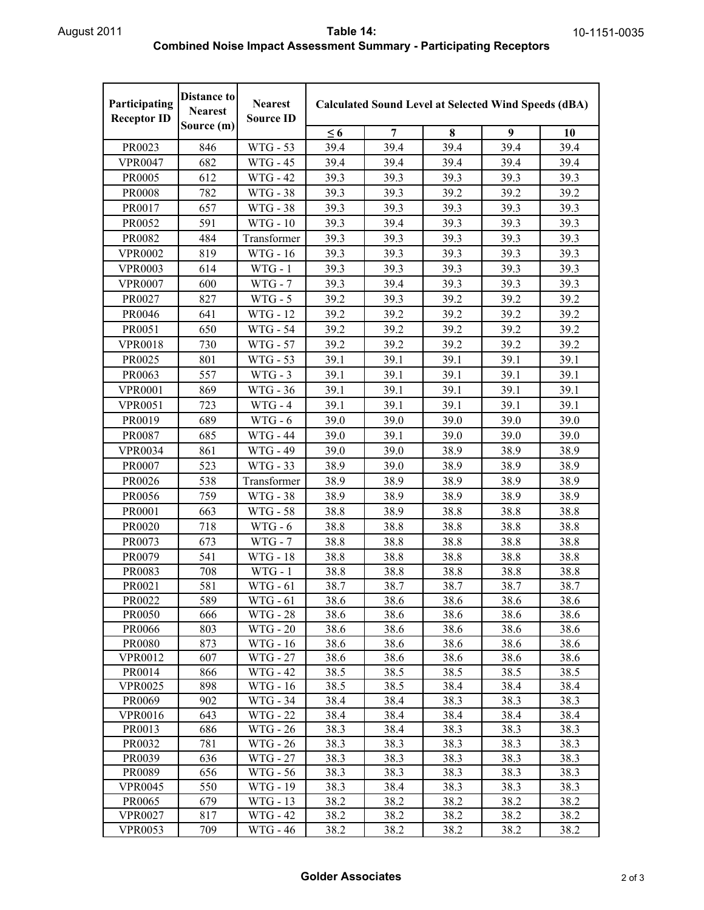## August 2011 **Table 14: Combined Noise Impact Assessment Summary - Participating Receptors**

| Participating<br><b>Receptor ID</b> | <b>Distance to</b><br><b>Nearest</b><br>Source (m) | <b>Nearest</b><br><b>Source ID</b> | <b>Calculated Sound Level at Selected Wind Speeds (dBA)</b> |              |              |              |              |
|-------------------------------------|----------------------------------------------------|------------------------------------|-------------------------------------------------------------|--------------|--------------|--------------|--------------|
|                                     |                                                    |                                    | $\leq 6$                                                    | 7            | 8            | 9            | 10           |
| PR0023                              | 846                                                | WTG - 53                           | 39.4                                                        | 39.4         | 39.4         | 39.4         | 39.4         |
| <b>VPR0047</b>                      | 682                                                | WTG - 45                           | 39.4                                                        | 39.4         | 39.4         | 39.4         | 39.4         |
| PR0005                              | 612                                                | <b>WTG - 42</b>                    | 39.3                                                        | 39.3         | 39.3         | 39.3         | 39.3         |
| <b>PR0008</b>                       | 782                                                | WTG - 38                           | 39.3                                                        | 39.3         | 39.2         | 39.2         | 39.2         |
| PR0017                              | 657                                                | <b>WTG - 38</b>                    | 39.3                                                        | 39.3         | 39.3         | 39.3         | 39.3         |
| PR0052                              | 591                                                | $WTG - 10$                         | 39.3                                                        | 39.4         | 39.3         | 39.3         | 39.3         |
| PR0082                              | 484                                                | Transformer                        | 39.3                                                        | 39.3         | 39.3         | 39.3         | 39.3         |
| <b>VPR0002</b>                      | 819                                                | WTG - 16                           | 39.3                                                        | 39.3         | 39.3         | 39.3         | 39.3         |
| <b>VPR0003</b>                      | 614                                                | $WTG - 1$                          | 39.3                                                        | 39.3         | 39.3         | 39.3         | 39.3         |
| <b>VPR0007</b>                      | 600                                                | $WTG - 7$                          | 39.3                                                        | 39.4         | 39.3         | 39.3         | 39.3         |
| PR0027                              | 827                                                | $WTG - 5$                          | 39.2                                                        | 39.3         | 39.2         | 39.2         | 39.2         |
| PR0046                              | 641                                                | <b>WTG - 12</b>                    | 39.2                                                        | 39.2         | 39.2         | 39.2         | 39.2         |
| PR0051                              | 650                                                | <b>WTG - 54</b>                    | 39.2                                                        | 39.2         | 39.2         | 39.2         | 39.2         |
| <b>VPR0018</b>                      | 730                                                | WTG - 57                           | 39.2                                                        | 39.2         | 39.2         | 39.2         | 39.2         |
| PR0025                              | 801                                                | <b>WTG - 53</b>                    | 39.1                                                        | 39.1         | 39.1         | 39.1         | 39.1         |
| PR0063                              | 557                                                | $WTG - 3$                          | 39.1                                                        | 39.1         | 39.1         | 39.1         | 39.1         |
| <b>VPR0001</b>                      | 869                                                | WTG - 36                           | 39.1                                                        | 39.1         | 39.1         | 39.1         | 39.1         |
| <b>VPR0051</b>                      | 723                                                | $WTG - 4$                          | 39.1                                                        | 39.1         | 39.1         | 39.1         | 39.1         |
| PR0019                              | 689                                                | $WTG-6$                            | 39.0                                                        | 39.0         | 39.0         | 39.0         | 39.0         |
| PR0087                              | 685                                                | <b>WTG - 44</b>                    | 39.0                                                        | 39.1         | 39.0         | 39.0         | 39.0         |
| <b>VPR0034</b>                      | 861                                                | <b>WTG - 49</b>                    | 39.0                                                        | 39.0         | 38.9         | 38.9         | 38.9         |
| PR0007                              | 523                                                | WTG - 33                           | 38.9                                                        | 39.0         | 38.9         | 38.9         | 38.9         |
| PR0026                              | 538                                                | Transformer                        | 38.9                                                        | 38.9         | 38.9         | 38.9         | 38.9         |
| PR0056                              | 759                                                | WTG - 38                           | 38.9                                                        | 38.9         | 38.9         | 38.9         | 38.9         |
| PR0001                              | 663                                                | <b>WTG - 58</b>                    | 38.8                                                        | 38.9         | 38.8         | 38.8         | 38.8         |
| PR0020                              | 718                                                | $WTG - 6$                          | 38.8                                                        | 38.8         | 38.8         | 38.8         | 38.8         |
| PR0073                              | 673                                                | $WTG - 7$                          | 38.8                                                        | 38.8         | 38.8         | 38.8         | 38.8         |
| PR0079                              | 541                                                | WTG - 18                           | 38.8                                                        | 38.8         | 38.8         | 38.8         | 38.8         |
| PR0083                              | 708                                                | $WTG - 1$                          | 38.8                                                        | 38.8         | 38.8         | 38.8         | 38.8         |
| PR0021                              | 581                                                | WTG - 61                           | 38.7                                                        | 38.7         | 38.7         | 38.7         | 38.7         |
| PR0022                              | 589                                                | WTG - 61                           | 38.6                                                        | 38.6         | 38.6         | 38.6         | 38.6         |
| <b>PR0050</b>                       | 666                                                | WTG - 28                           | 38.6                                                        | 38.6         | 38.6         | 38.6         | 38.6         |
| PR0066                              | 803                                                | WTG - 20                           | 38.6                                                        | 38.6         | 38.6         | 38.6         | 38.6         |
| PR0080                              | 873                                                | WTG - 16                           | 38.6                                                        | 38.6         | 38.6         | 38.6         | 38.6         |
| <b>VPR0012</b>                      | 607                                                | <b>WTG - 27</b>                    | 38.6                                                        | 38.6         | 38.6         | 38.6         | 38.6         |
| PR0014                              | 866                                                | WTG - 42                           | 38.5                                                        | 38.5         | 38.5         | 38.5         | 38.5         |
| <b>VPR0025</b>                      | 898                                                | WTG - 16                           | 38.5                                                        | 38.5         | 38.4         | 38.4         | 38.4         |
| PR0069                              | 902                                                | WTG - 34                           | 38.4                                                        | 38.4         | 38.3         | 38.3         | 38.3         |
| <b>VPR0016</b>                      | 643                                                | WTG - 22                           | 38.4                                                        | 38.4         | 38.4         | 38.4         | 38.4         |
| PR0013<br>PR0032                    | 686<br>781                                         | WTG - 26<br>WTG - 26               | 38.3<br>38.3                                                | 38.4<br>38.3 | 38.3<br>38.3 | 38.3<br>38.3 | 38.3<br>38.3 |
|                                     |                                                    |                                    |                                                             |              |              |              |              |
| PR0039<br>PR0089                    | 636<br>656                                         | WTG - 27<br>WTG - 56               | 38.3<br>38.3                                                | 38.3<br>38.3 | 38.3<br>38.3 | 38.3<br>38.3 | 38.3<br>38.3 |
| <b>VPR0045</b>                      | 550                                                | WTG - 19                           | 38.3                                                        | 38.4         | 38.3         | 38.3         | 38.3         |
| PR0065                              | 679                                                | WTG - 13                           | 38.2                                                        | 38.2         | 38.2         | 38.2         | 38.2         |
| <b>VPR0027</b>                      | 817                                                | <b>WTG - 42</b>                    | 38.2                                                        | 38.2         | 38.2         | 38.2         | 38.2         |
| <b>VPR0053</b>                      | 709                                                | WTG - 46                           | 38.2                                                        | 38.2         | 38.2         | 38.2         | 38.2         |